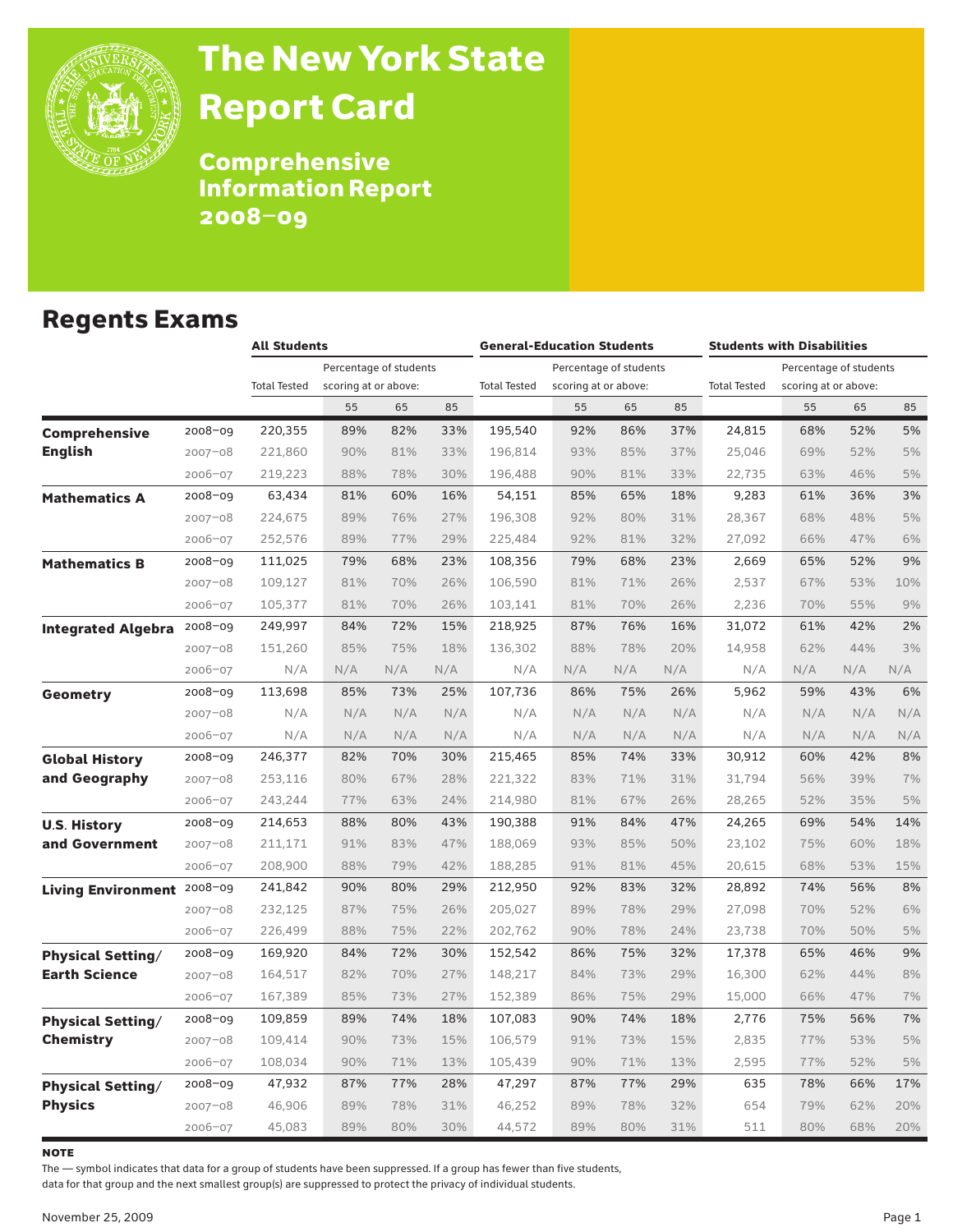

# The New York State Report Card

Comprehensive Information Report 2008–09

### Regents Exams

|                           |             | <b>All Students</b> |                        |     |     | <b>General-Education Students</b> |                        |     |     | <b>Students with Disabilities</b> |                      |     |     |  |
|---------------------------|-------------|---------------------|------------------------|-----|-----|-----------------------------------|------------------------|-----|-----|-----------------------------------|----------------------|-----|-----|--|
|                           |             |                     | Percentage of students |     |     |                                   | Percentage of students |     |     | Percentage of students            |                      |     |     |  |
|                           |             | <b>Total Tested</b> | scoring at or above:   |     |     | <b>Total Tested</b>               | scoring at or above:   |     |     | <b>Total Tested</b>               | scoring at or above: |     |     |  |
|                           |             |                     | 55                     | 65  | 85  |                                   | 55                     | 65  | 85  |                                   | 55                   | 65  | 85  |  |
| <b>Comprehensive</b>      | 2008-09     | 220,355             | 89%                    | 82% | 33% | 195,540                           | 92%                    | 86% | 37% | 24,815                            | 68%                  | 52% | 5%  |  |
| <b>English</b>            | $2007 - 08$ | 221,860             | 90%                    | 81% | 33% | 196,814                           | 93%                    | 85% | 37% | 25,046                            | 69%                  | 52% | 5%  |  |
|                           | 2006-07     | 219,223             | 88%                    | 78% | 30% | 196,488                           | 90%                    | 81% | 33% | 22,735                            | 63%                  | 46% | 5%  |  |
| <b>Mathematics A</b>      | $2008 - 09$ | 63,434              | 81%                    | 60% | 16% | 54,151                            | 85%                    | 65% | 18% | 9,283                             | 61%                  | 36% | 3%  |  |
|                           | $2007 - 08$ | 224,675             | 89%                    | 76% | 27% | 196,308                           | 92%                    | 80% | 31% | 28,367                            | 68%                  | 48% | 5%  |  |
|                           | 2006-07     | 252,576             | 89%                    | 77% | 29% | 225,484                           | 92%                    | 81% | 32% | 27,092                            | 66%                  | 47% | 6%  |  |
| <b>Mathematics B</b>      | $2008 - 09$ | 111,025             | 79%                    | 68% | 23% | 108,356                           | 79%                    | 68% | 23% | 2,669                             | 65%                  | 52% | 9%  |  |
|                           | $2007 - 08$ | 109,127             | 81%                    | 70% | 26% | 106,590                           | 81%                    | 71% | 26% | 2,537                             | 67%                  | 53% | 10% |  |
|                           | 2006-07     | 105,377             | 81%                    | 70% | 26% | 103,141                           | 81%                    | 70% | 26% | 2,236                             | 70%                  | 55% | 9%  |  |
| <b>Integrated Algebra</b> | $2008 - 09$ | 249,997             | 84%                    | 72% | 15% | 218,925                           | 87%                    | 76% | 16% | 31,072                            | 61%                  | 42% | 2%  |  |
|                           | $2007 - 08$ | 151,260             | 85%                    | 75% | 18% | 136,302                           | 88%                    | 78% | 20% | 14,958                            | 62%                  | 44% | 3%  |  |
|                           | 2006-07     | N/A                 | N/A                    | N/A | N/A | N/A                               | N/A                    | N/A | N/A | N/A                               | N/A                  | N/A | N/A |  |
| Geometry                  | $2008 - 09$ | 113,698             | 85%                    | 73% | 25% | 107,736                           | 86%                    | 75% | 26% | 5,962                             | 59%                  | 43% | 6%  |  |
|                           | $2007 - 08$ | N/A                 | N/A                    | N/A | N/A | N/A                               | N/A                    | N/A | N/A | N/A                               | N/A                  | N/A | N/A |  |
|                           | 2006-07     | N/A                 | N/A                    | N/A | N/A | N/A                               | N/A                    | N/A | N/A | N/A                               | N/A                  | N/A | N/A |  |
| <b>Global History</b>     | $2008 - 09$ | 246,377             | 82%                    | 70% | 30% | 215,465                           | 85%                    | 74% | 33% | 30,912                            | 60%                  | 42% | 8%  |  |
| and Geography             | $2007 - 08$ | 253,116             | 80%                    | 67% | 28% | 221,322                           | 83%                    | 71% | 31% | 31,794                            | 56%                  | 39% | 7%  |  |
|                           | 2006-07     | 243,244             | 77%                    | 63% | 24% | 214,980                           | 81%                    | 67% | 26% | 28,265                            | 52%                  | 35% | 5%  |  |
| <b>U.S. History</b>       | $2008 - 09$ | 214,653             | 88%                    | 80% | 43% | 190,388                           | 91%                    | 84% | 47% | 24,265                            | 69%                  | 54% | 14% |  |
| and Government            | $2007 - 08$ | 211,171             | 91%                    | 83% | 47% | 188,069                           | 93%                    | 85% | 50% | 23,102                            | 75%                  | 60% | 18% |  |
|                           | 2006-07     | 208,900             | 88%                    | 79% | 42% | 188,285                           | 91%                    | 81% | 45% | 20,615                            | 68%                  | 53% | 15% |  |
| <b>Living Environment</b> | $2008 - 09$ | 241,842             | 90%                    | 80% | 29% | 212,950                           | 92%                    | 83% | 32% | 28,892                            | 74%                  | 56% | 8%  |  |
|                           | $2007 - 08$ | 232,125             | 87%                    | 75% | 26% | 205,027                           | 89%                    | 78% | 29% | 27,098                            | 70%                  | 52% | 6%  |  |
|                           | 2006-07     | 226,499             | 88%                    | 75% | 22% | 202,762                           | 90%                    | 78% | 24% | 23,738                            | 70%                  | 50% | 5%  |  |
| <b>Physical Setting/</b>  | $2008 - 09$ | 169,920             | 84%                    | 72% | 30% | 152,542                           | 86%                    | 75% | 32% | 17,378                            | 65%                  | 46% | 9%  |  |
| <b>Earth Science</b>      | $2007 - 08$ | 164,517             | 82%                    | 70% | 27% | 148,217                           | 84%                    | 73% | 29% | 16,300                            | 62%                  | 44% | 8%  |  |
|                           | 2006-07     | 167,389             | 85%                    | 73% | 27% | 152,389                           | 86%                    | 75% | 29% | 15,000                            | 66%                  | 47% | 7%  |  |
| <b>Physical Setting/</b>  | 2008-09     | 109,859             | 89%                    | 74% | 18% | 107,083                           | 90%                    | 74% | 18% | 2,776                             | 75%                  | 56% | 7%  |  |
| <b>Chemistry</b>          | $2007 - 08$ | 109,414             | 90%                    | 73% | 15% | 106,579                           | 91%                    | 73% | 15% | 2,835                             | 77%                  | 53% | 5%  |  |
|                           | 2006-07     | 108,034             | 90%                    | 71% | 13% | 105,439                           | 90%                    | 71% | 13% | 2,595                             | 77%                  | 52% | 5%  |  |
| <b>Physical Setting/</b>  | $2008 - 09$ | 47,932              | 87%                    | 77% | 28% | 47,297                            | 87%                    | 77% | 29% | 635                               | 78%                  | 66% | 17% |  |
| <b>Physics</b>            | $2007 - 08$ | 46,906              | 89%                    | 78% | 31% | 46,252                            | 89%                    | 78% | 32% | 654                               | 79%                  | 62% | 20% |  |
|                           | $2006 - 07$ | 45,083              | 89%                    | 80% | 30% | 44,572                            | 89%                    | 80% | 31% | 511                               | 80%                  | 68% | 20% |  |

**NOTE** 

The — symbol indicates that data for a group of students have been suppressed. If a group has fewer than five students,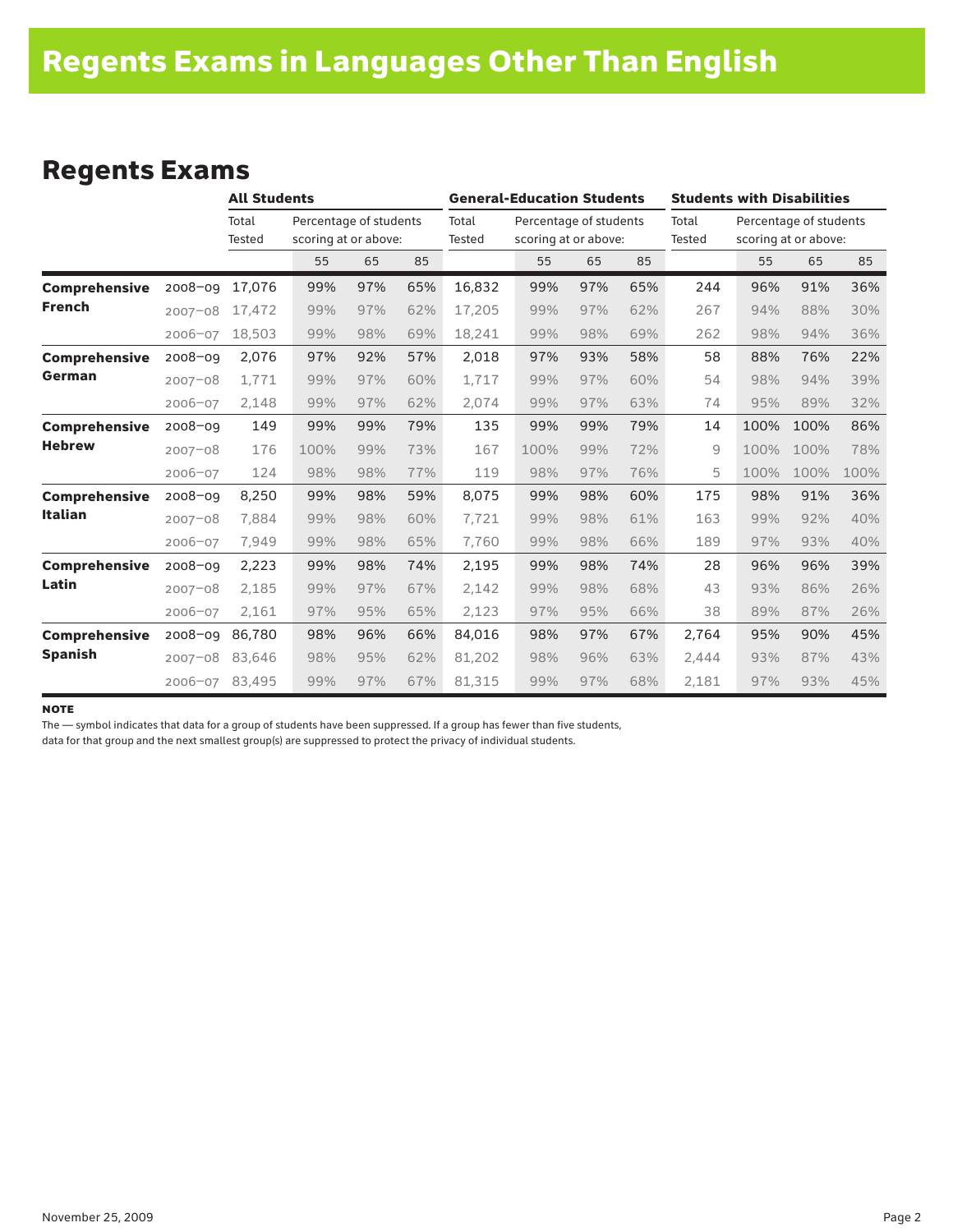### Regents Exams

|                      |             | <b>All Students</b>    |                                                |     |     | <b>General-Education Students</b> |                                                |     |     | <b>Students with Disabilities</b> |                                                |      |      |  |
|----------------------|-------------|------------------------|------------------------------------------------|-----|-----|-----------------------------------|------------------------------------------------|-----|-----|-----------------------------------|------------------------------------------------|------|------|--|
|                      |             | Total<br><b>Tested</b> | Percentage of students<br>scoring at or above: |     |     | Total<br>Tested                   | Percentage of students<br>scoring at or above: |     |     | Total<br>Tested                   | Percentage of students<br>scoring at or above: |      |      |  |
|                      |             |                        | 55                                             | 65  | 85  |                                   | 55                                             | 65  | 85  |                                   | 55                                             | 65   | 85   |  |
| <b>Comprehensive</b> | $2008 - 09$ | 17.076                 | 99%                                            | 97% | 65% | 16,832                            | 99%                                            | 97% | 65% | 244                               | 96%                                            | 91%  | 36%  |  |
| <b>French</b>        | $2007 - 08$ | 17,472                 | 99%                                            | 97% | 62% | 17,205                            | 99%                                            | 97% | 62% | 267                               | 94%                                            | 88%  | 30%  |  |
|                      | 2006-07     | 18,503                 | 99%                                            | 98% | 69% | 18,241                            | 99%                                            | 98% | 69% | 262                               | 98%                                            | 94%  | 36%  |  |
| <b>Comprehensive</b> | $2008 - 09$ | 2,076                  | 97%                                            | 92% | 57% | 2,018                             | 97%                                            | 93% | 58% | 58                                | 88%                                            | 76%  | 22%  |  |
| German               | $2007 - 08$ | 1.771                  | 99%                                            | 97% | 60% | 1,717                             | 99%                                            | 97% | 60% | 54                                | 98%                                            | 94%  | 39%  |  |
|                      | 2006-07     | 2,148                  | 99%                                            | 97% | 62% | 2,074                             | 99%                                            | 97% | 63% | 74                                | 95%                                            | 89%  | 32%  |  |
| <b>Comprehensive</b> | $2008 - 09$ | 149                    | 99%                                            | 99% | 79% | 135                               | 99%                                            | 99% | 79% | 14                                | 100%                                           | 100% | 86%  |  |
| <b>Hebrew</b>        | $2007 - 08$ | 176                    | 100%                                           | 99% | 73% | 167                               | 100%                                           | 99% | 72% | 9                                 | 100%                                           | 100% | 78%  |  |
|                      | 2006-07     | 124                    | 98%                                            | 98% | 77% | 119                               | 98%                                            | 97% | 76% | 5                                 | 100%                                           | 100% | 100% |  |
| Comprehensive        | $2008 - 09$ | 8,250                  | 99%                                            | 98% | 59% | 8,075                             | 99%                                            | 98% | 60% | 175                               | 98%                                            | 91%  | 36%  |  |
| <b>Italian</b>       | $2007 - 08$ | 7.884                  | 99%                                            | 98% | 60% | 7,721                             | 99%                                            | 98% | 61% | 163                               | 99%                                            | 92%  | 40%  |  |
|                      | 2006-07     | 7,949                  | 99%                                            | 98% | 65% | 7,760                             | 99%                                            | 98% | 66% | 189                               | 97%                                            | 93%  | 40%  |  |
| <b>Comprehensive</b> | $2008 - 09$ | 2,223                  | 99%                                            | 98% | 74% | 2,195                             | 99%                                            | 98% | 74% | 28                                | 96%                                            | 96%  | 39%  |  |
| Latin                | $2007 - 08$ | 2,185                  | 99%                                            | 97% | 67% | 2,142                             | 99%                                            | 98% | 68% | 43                                | 93%                                            | 86%  | 26%  |  |
|                      | 2006-07     | 2,161                  | 97%                                            | 95% | 65% | 2,123                             | 97%                                            | 95% | 66% | 38                                | 89%                                            | 87%  | 26%  |  |
| <b>Comprehensive</b> | $2008 - 09$ | 86,780                 | 98%                                            | 96% | 66% | 84,016                            | 98%                                            | 97% | 67% | 2,764                             | 95%                                            | 90%  | 45%  |  |
| <b>Spanish</b>       | $2007 - 08$ | 83,646                 | 98%                                            | 95% | 62% | 81,202                            | 98%                                            | 96% | 63% | 2,444                             | 93%                                            | 87%  | 43%  |  |
|                      | 2006-07     | 83,495                 | 99%                                            | 97% | 67% | 81,315                            | 99%                                            | 97% | 68% | 2,181                             | 97%                                            | 93%  | 45%  |  |

#### **NOTE**

The — symbol indicates that data for a group of students have been suppressed. If a group has fewer than five students,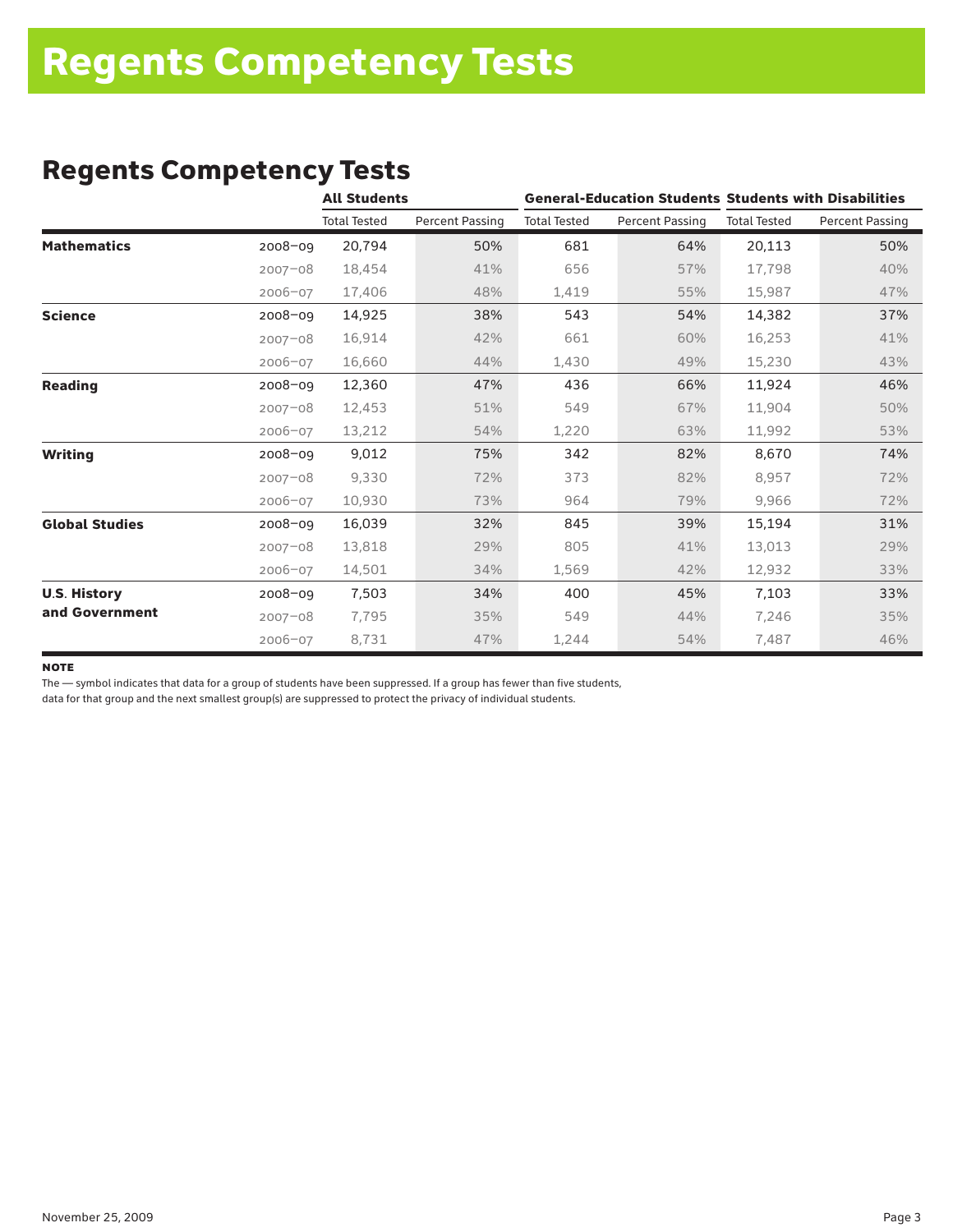### Regents Competency Tests

|                       |             | <b>All Students</b> |                        |                     |                        | <b>General-Education Students Students with Disabilities</b> |                        |  |
|-----------------------|-------------|---------------------|------------------------|---------------------|------------------------|--------------------------------------------------------------|------------------------|--|
|                       |             | <b>Total Tested</b> | <b>Percent Passing</b> | <b>Total Tested</b> | <b>Percent Passing</b> | <b>Total Tested</b>                                          | <b>Percent Passing</b> |  |
| <b>Mathematics</b>    | 2008-09     | 20,794              | 50%                    | 681                 | 64%                    | 20,113                                                       | 50%                    |  |
|                       | $2007 - 08$ | 18,454              | 41%                    | 656                 | 57%                    | 17,798                                                       | 40%                    |  |
|                       | 2006-07     | 17,406              | 48%                    | 1,419               | 55%                    | 15,987                                                       | 47%                    |  |
| <b>Science</b>        | $2008 - 09$ | 14,925              | 38%                    | 543                 | 54%                    | 14,382                                                       | 37%                    |  |
|                       | $2007 - 08$ | 16,914              | 42%                    | 661                 | 60%                    | 16,253                                                       | 41%                    |  |
|                       | 2006-07     | 16,660              | 44%                    | 1,430               | 49%                    | 15,230                                                       | 43%                    |  |
| <b>Reading</b>        | 2008-09     | 12,360              | 47%                    | 436                 | 66%                    | 11,924                                                       | 46%                    |  |
|                       | $2007 - 08$ | 12,453              | 51%                    | 549                 | 67%                    | 11,904                                                       | 50%                    |  |
|                       | 2006-07     | 13,212              | 54%                    | 1,220               | 63%                    | 11,992                                                       | 53%                    |  |
| <b>Writing</b>        | 2008-09     | 9,012               | 75%                    | 342                 | 82%                    | 8,670                                                        | 74%                    |  |
|                       | $2007 - 08$ | 9,330               | 72%                    | 373                 | 82%                    | 8,957                                                        | 72%                    |  |
|                       | 2006-07     | 10,930              | 73%                    | 964                 | 79%                    | 9,966                                                        | 72%                    |  |
| <b>Global Studies</b> | 2008-09     | 16,039              | 32%                    | 845                 | 39%                    | 15,194                                                       | 31%                    |  |
|                       | $2007 - 08$ | 13,818              | 29%                    | 805                 | 41%                    | 13,013                                                       | 29%                    |  |
|                       | 2006-07     | 14,501              | 34%                    | 1,569               | 42%                    | 12,932                                                       | 33%                    |  |
| <b>U.S. History</b>   | $2008 - 09$ | 7,503               | 34%                    | 400                 | 45%                    | 7,103                                                        | 33%                    |  |
| and Government        | $2007 - 08$ | 7,795               | 35%                    | 549                 | 44%                    | 7,246                                                        | 35%                    |  |
|                       | 2006-07     | 8,731               | 47%                    | 1,244               | 54%                    | 7,487                                                        | 46%                    |  |

#### **NOTE**

The — symbol indicates that data for a group of students have been suppressed. If a group has fewer than five students,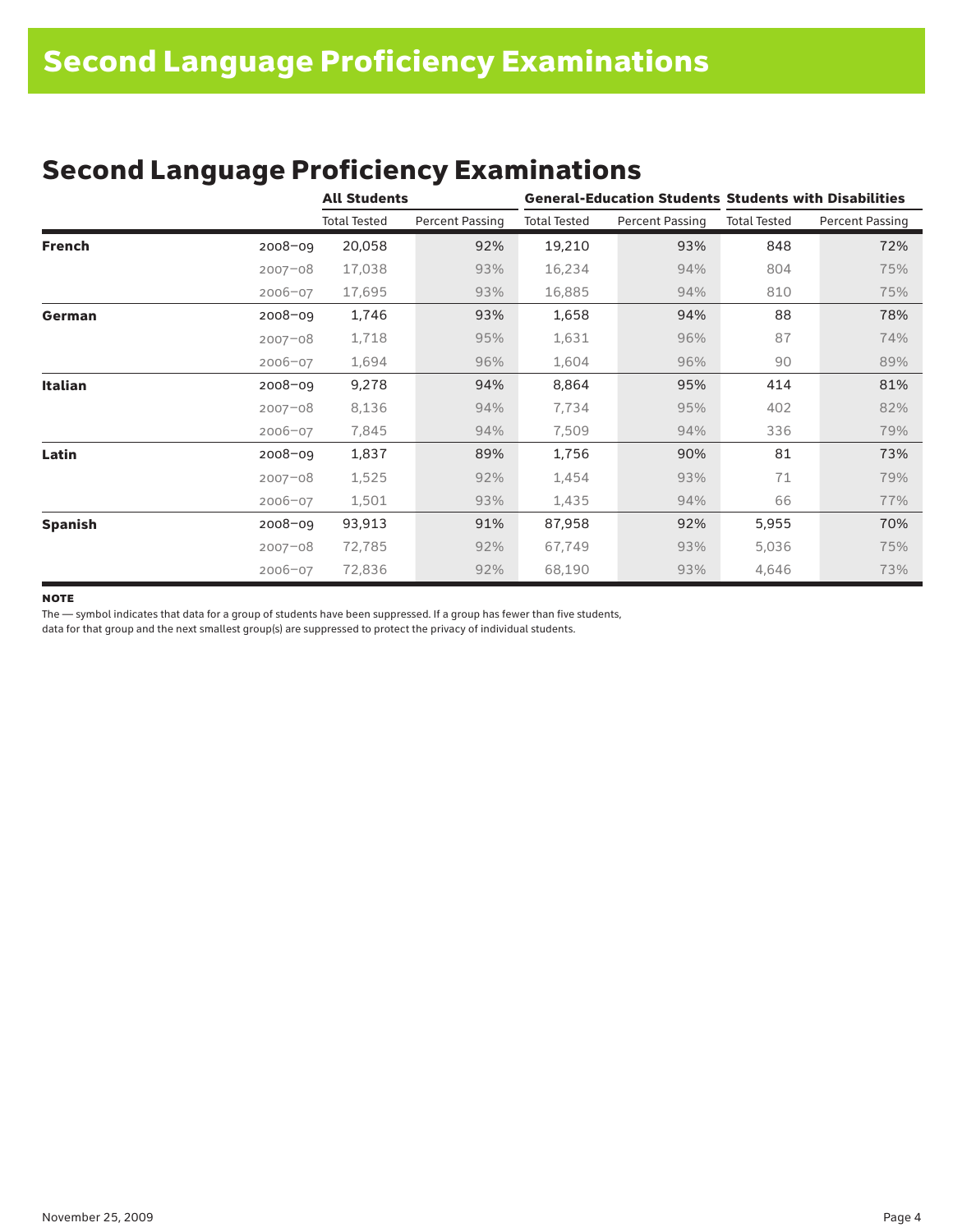| <b>Second Language Proficiency Examinations</b> |
|-------------------------------------------------|
|-------------------------------------------------|

|                |             | <b>All Students</b> |                 | <b>General-Education Students Students with Disabilities</b> |                 |                     |                        |  |  |
|----------------|-------------|---------------------|-----------------|--------------------------------------------------------------|-----------------|---------------------|------------------------|--|--|
|                |             | <b>Total Tested</b> | Percent Passing | <b>Total Tested</b>                                          | Percent Passing | <b>Total Tested</b> | <b>Percent Passing</b> |  |  |
| French         | $2008 - 09$ | 20,058              | 92%             | 19,210                                                       | 93%             | 848                 | 72%                    |  |  |
|                | $2007 - 08$ | 17,038              | 93%             | 16,234                                                       | 94%             | 804                 | 75%                    |  |  |
|                | $2006 - 07$ | 17,695              | 93%             | 16,885                                                       | 94%             | 810                 | 75%                    |  |  |
| German         | 2008-09     | 1,746               | 93%             | 1,658                                                        | 94%             | 88                  | 78%                    |  |  |
|                | $2007 - 08$ | 1,718               | 95%             | 1,631                                                        | 96%             | 87                  | 74%                    |  |  |
|                | $2006 - 07$ | 1,694               | 96%             | 1,604                                                        | 96%             | 90                  | 89%                    |  |  |
| <b>Italian</b> | $2008 - 09$ | 9,278               | 94%             | 8,864                                                        | 95%             | 414                 | 81%                    |  |  |
|                | $2007 - 08$ | 8,136               | 94%             | 7,734                                                        | 95%             | 402                 | 82%                    |  |  |
|                | $2006 - 07$ | 7,845               | 94%             | 7,509                                                        | 94%             | 336                 | 79%                    |  |  |
| Latin          | 2008-09     | 1,837               | 89%             | 1,756                                                        | 90%             | 81                  | 73%                    |  |  |
|                | $2007 - 08$ | 1,525               | 92%             | 1,454                                                        | 93%             | 71                  | 79%                    |  |  |
|                | $2006 - 07$ | 1,501               | 93%             | 1,435                                                        | 94%             | 66                  | 77%                    |  |  |
| <b>Spanish</b> | $2008 - 09$ | 93,913              | 91%             | 87,958                                                       | 92%             | 5,955               | 70%                    |  |  |
|                | $2007 - 08$ | 72,785              | 92%             | 67,749                                                       | 93%             | 5,036               | 75%                    |  |  |
|                | 2006-07     | 72,836              | 92%             | 68,190                                                       | 93%             | 4,646               | 73%                    |  |  |

#### **NOTE**

The — symbol indicates that data for a group of students have been suppressed. If a group has fewer than five students,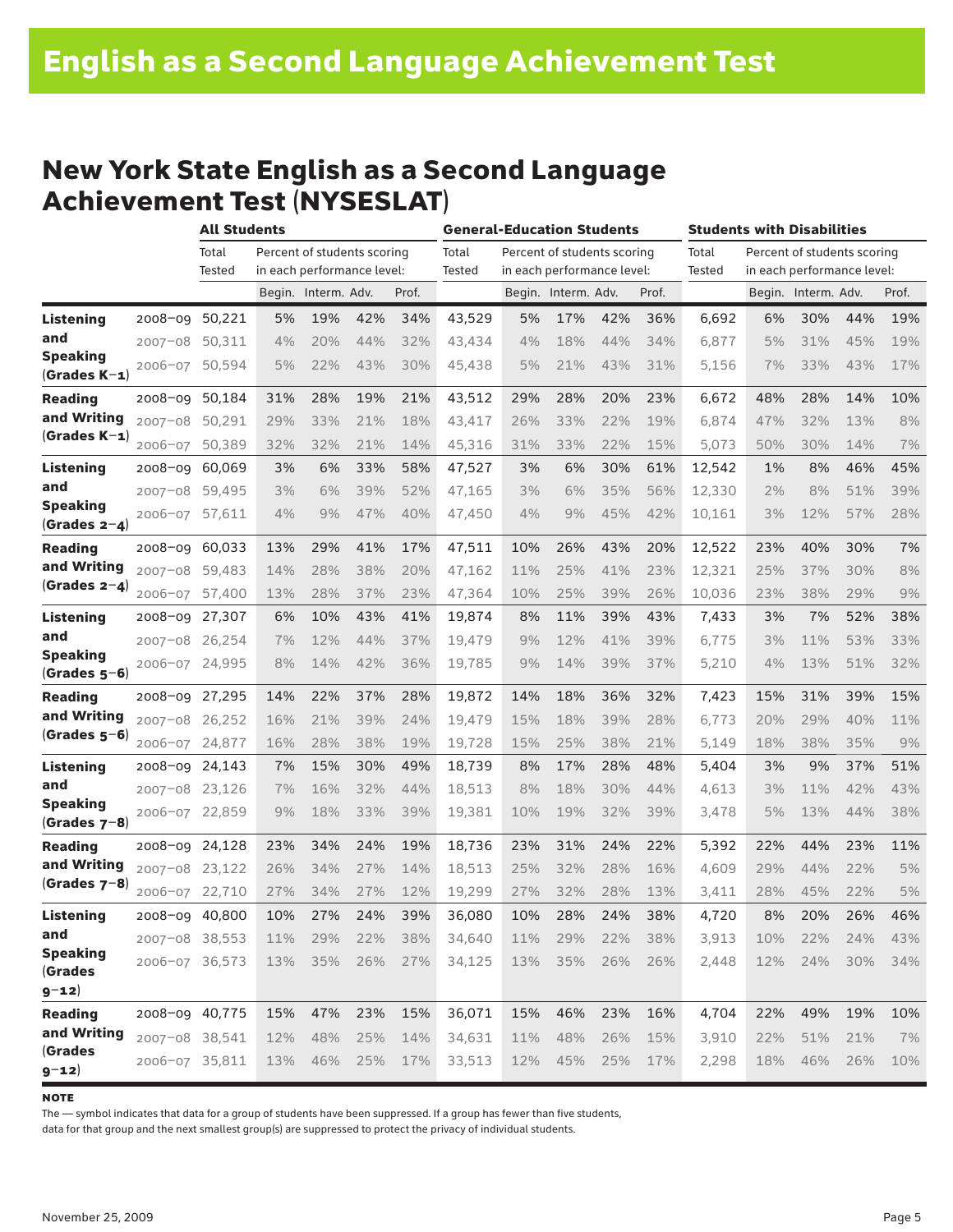### New York State English as a Second Language Achievement Test (NYSESLAT)

|                                   |                | <b>All Students</b> |     |                             |     |       | <b>General-Education Students</b> |     |                             |     |       | <b>Students with Disabilities</b> |     |                             |     |       |
|-----------------------------------|----------------|---------------------|-----|-----------------------------|-----|-------|-----------------------------------|-----|-----------------------------|-----|-------|-----------------------------------|-----|-----------------------------|-----|-------|
|                                   |                | Total               |     | Percent of students scoring |     |       | Total                             |     | Percent of students scoring |     |       | Total                             |     | Percent of students scoring |     |       |
|                                   |                | Tested              |     | in each performance level:  |     |       | Tested                            |     | in each performance level:  |     |       | Tested                            |     | in each performance level:  |     |       |
|                                   |                |                     |     | Begin. Interm. Adv.         |     | Prof. |                                   |     | Begin. Interm. Adv.         |     | Prof. |                                   |     | Begin. Interm. Adv.         |     | Prof. |
| <b>Listening</b>                  | 2008-09        | 50,221              | 5%  | 19%                         | 42% | 34%   | 43,529                            | 5%  | 17%                         | 42% | 36%   | 6,692                             | 6%  | 30%                         | 44% | 19%   |
| and                               | $2007 - 08$    | 50,311              | 4%  | 20%                         | 44% | 32%   | 43,434                            | 4%  | 18%                         | 44% | 34%   | 6,877                             | 5%  | 31%                         | 45% | 19%   |
| <b>Speaking</b><br>$(Grades K-1)$ | $2006 - 07$    | 50,594              | 5%  | 22%                         | 43% | 30%   | 45,438                            | 5%  | 21%                         | 43% | 31%   | 5,156                             | 7%  | 33%                         | 43% | 17%   |
| <b>Reading</b>                    | $2008 - 09$    | 50,184              | 31% | 28%                         | 19% | 21%   | 43,512                            | 29% | 28%                         | 20% | 23%   | 6,672                             | 48% | 28%                         | 14% | 10%   |
| and Writing                       | $2007 - 08$    | 50,291              | 29% | 33%                         | 21% | 18%   | 43,417                            | 26% | 33%                         | 22% | 19%   | 6,874                             | 47% | 32%                         | 13% | 8%    |
| $(Grades K-1)$                    | 2006-07        | 50,389              | 32% | 32%                         | 21% | 14%   | 45,316                            | 31% | 33%                         | 22% | 15%   | 5,073                             | 50% | 30%                         | 14% | 7%    |
| Listening                         | $2008 - 09$    | 60,069              | 3%  | 6%                          | 33% | 58%   | 47,527                            | 3%  | 6%                          | 30% | 61%   | 12,542                            | 1%  | 8%                          | 46% | 45%   |
| and                               | $2007 - 08$    | 59,495              | 3%  | 6%                          | 39% | 52%   | 47,165                            | 3%  | 6%                          | 35% | 56%   | 12,330                            | 2%  | 8%                          | 51% | 39%   |
| <b>Speaking</b><br>$(Grades 2-4)$ | $2006 - 07$    | 57,611              | 4%  | 9%                          | 47% | 40%   | 47,450                            | 4%  | 9%                          | 45% | 42%   | 10,161                            | 3%  | 12%                         | 57% | 28%   |
| <b>Reading</b>                    | 2008-09 60,033 |                     | 13% | 29%                         | 41% | 17%   | 47,511                            | 10% | 26%                         | 43% | 20%   | 12,522                            | 23% | 40%                         | 30% | 7%    |
| and Writing                       | $2007 - 08$    | 59,483              | 14% | 28%                         | 38% | 20%   | 47,162                            | 11% | 25%                         | 41% | 23%   | 12,321                            | 25% | 37%                         | 30% | 8%    |
| (Grades $2-4$ )                   | 2006-07        | 57,400              | 13% | 28%                         | 37% | 23%   | 47,364                            | 10% | 25%                         | 39% | 26%   | 10,036                            | 23% | 38%                         | 29% | 9%    |
| <b>Listening</b>                  | 2008-09        | 27,307              | 6%  | 10%                         | 43% | 41%   | 19,874                            | 8%  | 11%                         | 39% | 43%   | 7,433                             | 3%  | 7%                          | 52% | 38%   |
| and                               | 2007-08 26,254 |                     | 7%  | 12%                         | 44% | 37%   | 19,479                            | 9%  | 12%                         | 41% | 39%   | 6,775                             | 3%  | 11%                         | 53% | 33%   |
| <b>Speaking</b><br>$(Grades 5-6)$ | 2006-07 24,995 |                     | 8%  | 14%                         | 42% | 36%   | 19,785                            | 9%  | 14%                         | 39% | 37%   | 5,210                             | 4%  | 13%                         | 51% | 32%   |
| <b>Reading</b>                    | 2008-09 27,295 |                     | 14% | 22%                         | 37% | 28%   | 19,872                            | 14% | 18%                         | 36% | 32%   | 7,423                             | 15% | 31%                         | 39% | 15%   |
| and Writing                       | 2007-08 26,252 |                     | 16% | 21%                         | 39% | 24%   | 19,479                            | 15% | 18%                         | 39% | 28%   | 6,773                             | 20% | 29%                         | 40% | 11%   |
| $(Grades 5-6)$                    | 2006-07        | 24,877              | 16% | 28%                         | 38% | 19%   | 19,728                            | 15% | 25%                         | 38% | 21%   | 5,149                             | 18% | 38%                         | 35% | 9%    |
| <b>Listening</b>                  | 2008-09 24,143 |                     | 7%  | 15%                         | 30% | 49%   | 18,739                            | 8%  | 17%                         | 28% | 48%   | 5,404                             | 3%  | 9%                          | 37% | 51%   |
| and                               | 2007-08 23,126 |                     | 7%  | 16%                         | 32% | 44%   | 18,513                            | 8%  | 18%                         | 30% | 44%   | 4,613                             | 3%  | 11%                         | 42% | 43%   |
| <b>Speaking</b><br>$(Grades 7-8)$ | 2006-07 22,859 |                     | 9%  | 18%                         | 33% | 39%   | 19,381                            | 10% | 19%                         | 32% | 39%   | 3,478                             | 5%  | 13%                         | 44% | 38%   |
| <b>Reading</b>                    | 2008-09 24,128 |                     | 23% | 34%                         | 24% | 19%   | 18,736                            | 23% | 31%                         | 24% | 22%   | 5,392                             | 22% | 44%                         | 23% | 11%   |
| and Writing                       | 2007-08 23,122 |                     | 26% | 34%                         | 27% | 14%   | 18.513                            | 25% | 32%                         | 28% | 16%   | 4,609                             | 29% | 44%                         | 22% | 5%    |
| $(Grades 7-8)$                    | 2006-07        | 22,710              | 27% | 34%                         | 27% | 12%   | 19,299                            | 27% | 32%                         | 28% | 13%   | 3,411                             | 28% | 45%                         | 22% | 5%    |
| Listening                         | 2008-09        | 40,800              | 10% | 27%                         | 24% | 39%   | 36,080                            | 10% | 28%                         | 24% | 38%   | 4,720                             | 8%  | 20%                         | 26% | 46%   |
| and                               | 2007-08 38,553 |                     | 11% | 29%                         | 22% | 38%   | 34,640                            | 11% | 29%                         | 22% | 38%   | 3,913                             | 10% | 22%                         | 24% | 43%   |
| <b>Speaking</b>                   | 2006-07 36,573 |                     | 13% | 35%                         | 26% | 27%   | 34,125                            | 13% | 35%                         | 26% | 26%   | 2,448                             | 12% | 24%                         | 30% | 34%   |
| <b>(Grades</b><br>$9 - 12)$       |                |                     |     |                             |     |       |                                   |     |                             |     |       |                                   |     |                             |     |       |
| <b>Reading</b>                    | 2008-09 40,775 |                     | 15% | 47%                         | 23% | 15%   | 36,071                            | 15% | 46%                         | 23% | 16%   | 4,704                             | 22% | 49%                         | 19% | 10%   |
| and Writing                       | 2007-08 38,541 |                     | 12% | 48%                         | 25% | 14%   | 34,631                            | 11% | 48%                         | 26% | 15%   | 3,910                             | 22% | 51%                         | 21% | 7%    |
| <b>(Grades</b><br>$9 - 12$        | 2006-07 35,811 |                     | 13% | 46%                         | 25% | 17%   | 33,513                            | 12% | 45%                         | 25% | 17%   | 2,298                             | 18% | 46%                         | 26% | 10%   |

#### **NOTE**

The — symbol indicates that data for a group of students have been suppressed. If a group has fewer than five students,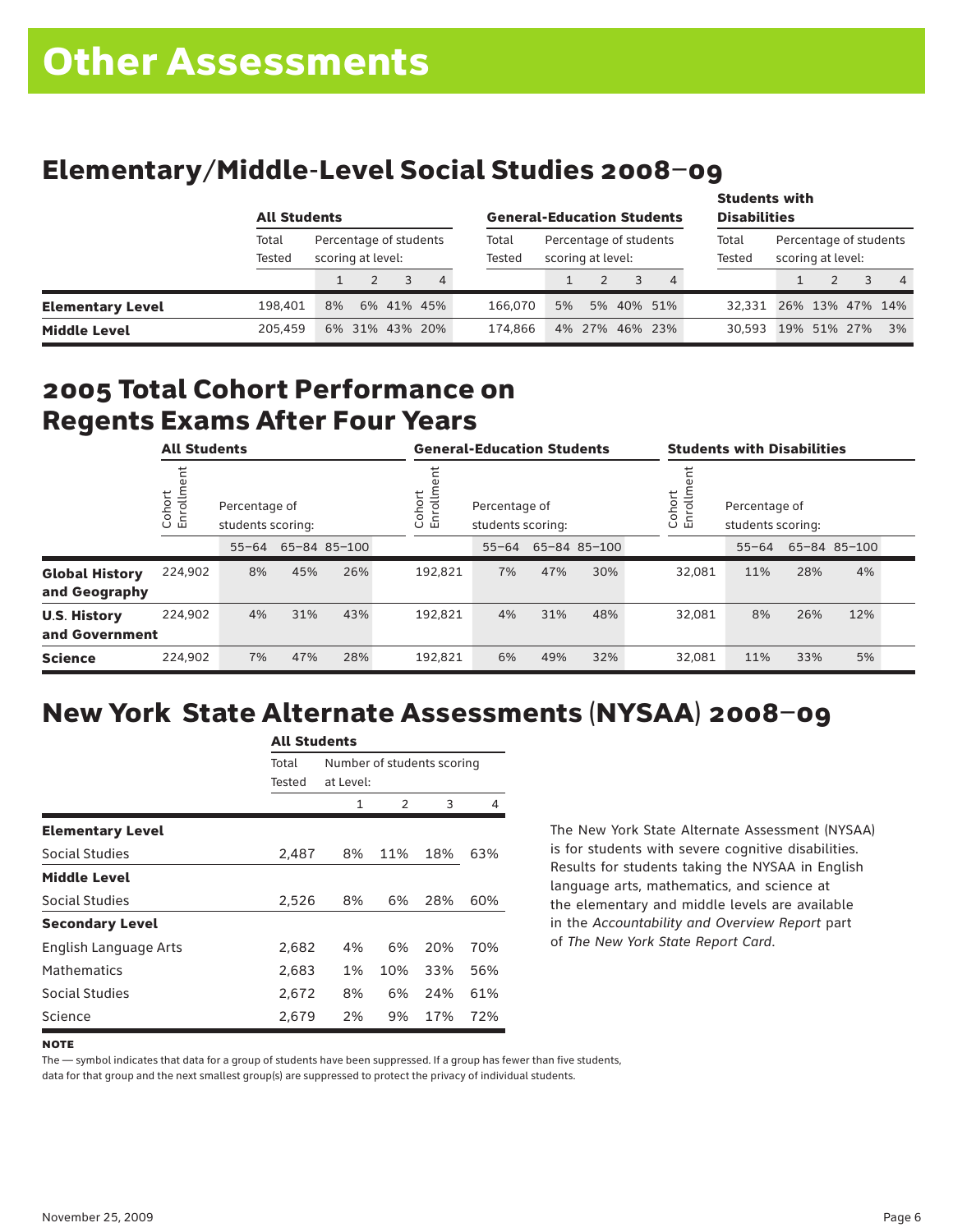# Elementary/Middle-Level Social Studies 2008–09

|                         |                 | <b>All Students</b>                         |  |  |                |  | <b>General-Education Students</b>                              |    |  |  |                 |                                             | <b>Students with</b><br><b>Disabilities</b> |  |  |                |  |
|-------------------------|-----------------|---------------------------------------------|--|--|----------------|--|----------------------------------------------------------------|----|--|--|-----------------|---------------------------------------------|---------------------------------------------|--|--|----------------|--|
|                         | Total<br>Tested | Percentage of students<br>scoring at level: |  |  |                |  | Percentage of students<br>Total<br>scoring at level:<br>Tested |    |  |  | Total<br>Tested | Percentage of students<br>scoring at level: |                                             |  |  |                |  |
|                         |                 |                                             |  |  | 4              |  |                                                                |    |  |  | $\overline{4}$  |                                             |                                             |  |  | $\overline{4}$ |  |
| <b>Elementary Level</b> | 198.401         | 8%                                          |  |  | 6% 41% 45%     |  | 166,070                                                        | 5% |  |  | 5% 40% 51%      | 32.331 26% 13% 47% 14%                      |                                             |  |  |                |  |
| <b>Middle Level</b>     | 205.459         |                                             |  |  | 6% 31% 43% 20% |  | 174.866                                                        |    |  |  | 4% 27% 46% 23%  | 30.593                                      | 19% 51% 27%                                 |  |  | 3%             |  |

### 2005 Total Cohort Performance on Regents Exams After Four Years

|                                        | <b>All Students</b> |                                    |     |              | <b>General-Education Students</b>                       |           |     |              | <b>Students with Disabilities</b> |                                    |     |              |  |
|----------------------------------------|---------------------|------------------------------------|-----|--------------|---------------------------------------------------------|-----------|-----|--------------|-----------------------------------|------------------------------------|-----|--------------|--|
|                                        | Cohort<br>Enrollm   | Percentage of<br>students scoring: |     |              | Cohort<br>Enrollm<br>Percentage of<br>students scoring: |           |     |              | ohort<br>5<br>ិ ក្ន               | Percentage of<br>students scoring: |     |              |  |
|                                        |                     | $55 - 64$                          |     | 65-84 85-100 |                                                         | $55 - 64$ |     | 65-84 85-100 |                                   | $55 - 64$                          |     | 65-84 85-100 |  |
| <b>Global History</b><br>and Geography | 224.902             | 8%                                 | 45% | 26%          | 192,821                                                 | 7%        | 47% | 30%          | 32.081                            | 11%                                | 28% | 4%           |  |
| <b>U.S. History</b><br>and Government  | 224.902             | 4%                                 | 31% | 43%          | 192,821                                                 | 4%        | 31% | 48%          | 32.081                            | 8%                                 | 26% | 12%          |  |
| <b>Science</b>                         | 224,902             | 7%                                 | 47% | 28%          | 192,821                                                 | 6%        | 49% | 32%          | 32,081                            | 11%                                | 33% | 5%           |  |

# New York State Alternate Assessments (NYSAA) 2008–09

| All Students            |        |                            |           |     |     |  |  |  |  |
|-------------------------|--------|----------------------------|-----------|-----|-----|--|--|--|--|
|                         | Total  | Number of students scoring |           |     |     |  |  |  |  |
|                         | Tested |                            | at Level: |     |     |  |  |  |  |
|                         |        | 1                          | 2         | 3   | 4   |  |  |  |  |
| <b>Elementary Level</b> |        |                            |           |     |     |  |  |  |  |
| <b>Social Studies</b>   | 2,487  | 8%                         | 11%       | 18% | 63% |  |  |  |  |
| <b>Middle Level</b>     |        |                            |           |     |     |  |  |  |  |
| Social Studies          | 2,526  | 8%                         | 6%        | 28% | 60% |  |  |  |  |
| <b>Secondary Level</b>  |        |                            |           |     |     |  |  |  |  |
| English Language Arts   | 2,682  | 4%                         | 6%        | 20% | 70% |  |  |  |  |
| <b>Mathematics</b>      | 2,683  | 1%                         | 10%       | 33% | 56% |  |  |  |  |
| Social Studies          | 2,672  | 8%                         | 6%        | 24% | 61% |  |  |  |  |
| Science                 | 2,679  | 2%                         | 9%        | 17% | 72% |  |  |  |  |

All Canada

The New York State Alternate Assessment (NYSAA) is for students with severe cognitive disabilities. Results for students taking the NYSAA in English language arts, mathematics, and science at the elementary and middle levels are available in the *Accountability and Overview Report* part of *The New York State Report Card*.

The — symbol indicates that data for a group of students have been suppressed. If a group has fewer than five students,

**NOTE**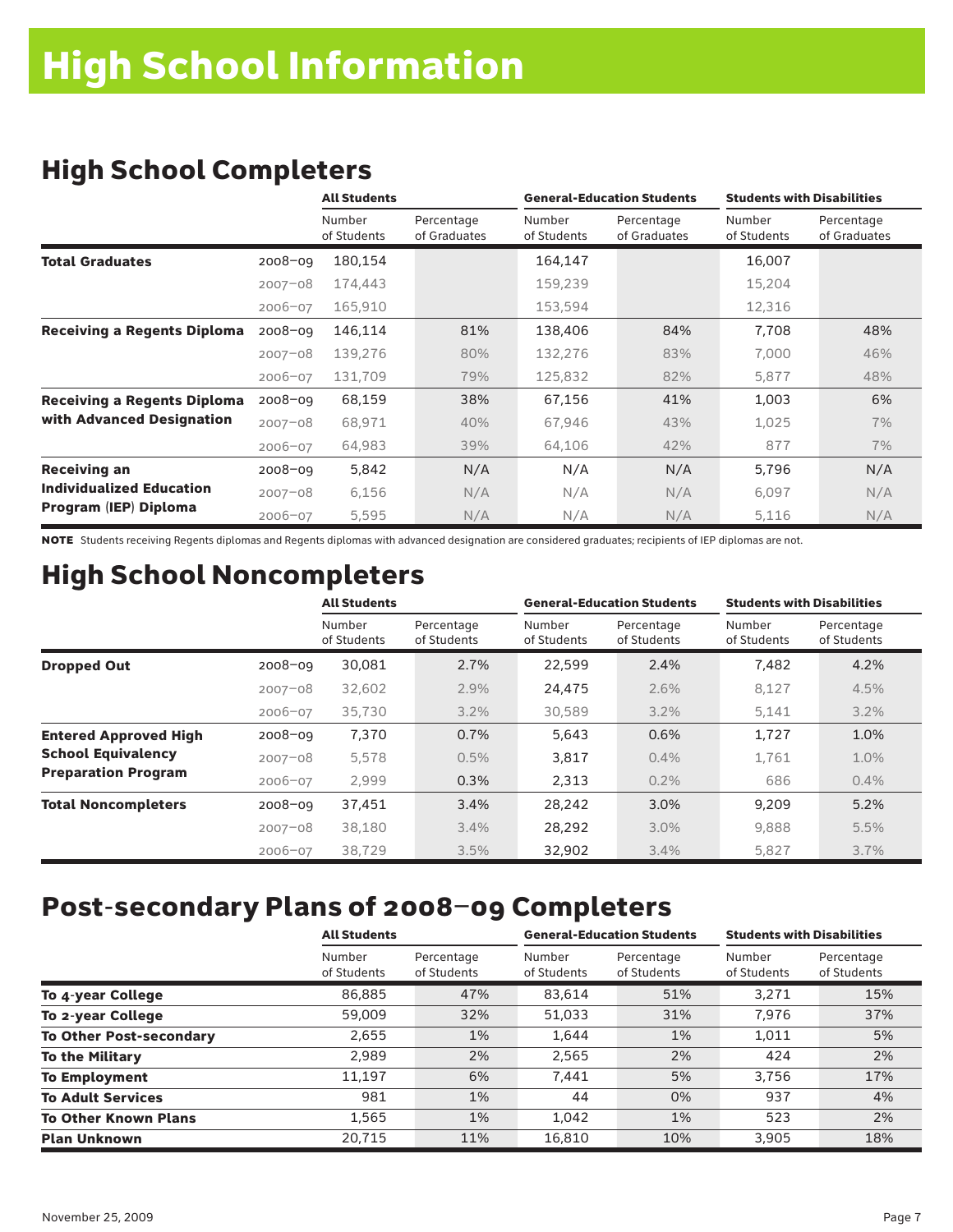## High School Completers

|                                    |             | <b>All Students</b>   |                            |                       | <b>General-Education Students</b> | <b>Students with Disabilities</b> |                            |  |
|------------------------------------|-------------|-----------------------|----------------------------|-----------------------|-----------------------------------|-----------------------------------|----------------------------|--|
|                                    |             | Number<br>of Students | Percentage<br>of Graduates | Number<br>of Students | Percentage<br>of Graduates        | Number<br>of Students             | Percentage<br>of Graduates |  |
| <b>Total Graduates</b>             | $2008 - 09$ | 180,154               |                            | 164,147               |                                   | 16,007                            |                            |  |
|                                    | $2007 - 08$ | 174,443               |                            | 159,239               |                                   | 15,204                            |                            |  |
|                                    | 2006-07     | 165,910               |                            | 153,594               |                                   | 12,316                            |                            |  |
| <b>Receiving a Regents Diploma</b> | $2008 - 09$ | 146,114               | 81%                        | 138,406               | 84%                               | 7,708                             | 48%                        |  |
|                                    | $2007 - 08$ | 139,276               | 80%                        | 132,276               | 83%                               | 7,000                             | 46%                        |  |
|                                    | $2006 - 07$ | 131,709               | 79%                        | 125,832               | 82%                               | 5,877                             | 48%                        |  |
| <b>Receiving a Regents Diploma</b> | $2008 - 09$ | 68,159                | 38%                        | 67,156                | 41%                               | 1,003                             | 6%                         |  |
| with Advanced Designation          | $2007 - 08$ | 68,971                | 40%                        | 67,946                | 43%                               | 1,025                             | 7%                         |  |
|                                    | 2006-07     | 64,983                | 39%                        | 64,106                | 42%                               | 877                               | 7%                         |  |
| <b>Receiving an</b>                | $2008 - 09$ | 5,842                 | N/A                        | N/A                   | N/A                               | 5,796                             | N/A                        |  |
| <b>Individualized Education</b>    | $2007 - 08$ | 6,156                 | N/A                        | N/A                   | N/A                               | 6,097                             | N/A                        |  |
| Program (IEP) Diploma              | $2006 - 07$ | 5,595                 | N/A                        | N/A                   | N/A                               | 5,116                             | N/A                        |  |

NOTE Students receiving Regents diplomas and Regents diplomas with advanced designation are considered graduates; recipients of IEP diplomas are not.

# High School Noncompleters

|                              |             | <b>All Students</b>   |                           |                       | <b>General-Education Students</b> | <b>Students with Disabilities</b> |                           |
|------------------------------|-------------|-----------------------|---------------------------|-----------------------|-----------------------------------|-----------------------------------|---------------------------|
|                              |             | Number<br>of Students | Percentage<br>of Students | Number<br>of Students | Percentage<br>of Students         | Number<br>of Students             | Percentage<br>of Students |
| <b>Dropped Out</b>           | $2008 - 09$ | 30,081                | 2.7%                      | 22,599                | 2.4%                              | 7,482                             | 4.2%                      |
|                              | $2007 - 08$ | 32,602                | 2.9%                      | 24,475                | 2.6%                              | 8,127                             | 4.5%                      |
|                              | $2006 - 07$ | 35,730                | 3.2%                      | 30,589                | 3.2%                              | 5,141                             | 3.2%                      |
| <b>Entered Approved High</b> | $2008 - 09$ | 7,370                 | 0.7%                      | 5,643                 | 0.6%                              | 1,727                             | 1.0%                      |
| <b>School Equivalency</b>    | $2007 - 08$ | 5,578                 | 0.5%                      | 3,817                 | 0.4%                              | 1.761                             | 1.0%                      |
| <b>Preparation Program</b>   | 2006-07     | 2,999                 | 0.3%                      | 2,313                 | 0.2%                              | 686                               | 0.4%                      |
| <b>Total Noncompleters</b>   | $2008 - 09$ | 37,451                | 3.4%                      | 28,242                | 3.0%                              | 9,209                             | 5.2%                      |
|                              | $2007 - 08$ | 38,180                | 3.4%                      | 28,292                | 3.0%                              | 9,888                             | 5.5%                      |
|                              | $2006 - 07$ | 38,729                | 3.5%                      | 32,902                | 3.4%                              | 5,827                             | 3.7%                      |

### Post-secondary Plans of 2008–09 Completers

|                                | <b>All Students</b>   |                           |                       | <b>General-Education Students</b> | <b>Students with Disabilities</b> |                           |  |
|--------------------------------|-----------------------|---------------------------|-----------------------|-----------------------------------|-----------------------------------|---------------------------|--|
|                                | Number<br>of Students | Percentage<br>of Students | Number<br>of Students | Percentage<br>of Students         | Number<br>of Students             | Percentage<br>of Students |  |
| To 4-year College              | 86,885                | 47%                       | 83,614                | 51%                               | 3.271                             | 15%                       |  |
| To 2-year College              | 59,009                | 32%                       | 51,033                | 31%                               | 7,976                             | 37%                       |  |
| <b>To Other Post-secondary</b> | 2,655                 | 1%                        | 1,644                 | $1\%$                             | 1,011                             | 5%                        |  |
| <b>To the Military</b>         | 2,989                 | 2%                        | 2,565                 | 2%                                | 424                               | 2%                        |  |
| <b>To Employment</b>           | 11.197                | 6%                        | 7,441                 | 5%                                | 3.756                             | 17%                       |  |
| <b>To Adult Services</b>       | 981                   | 1%                        | 44                    | 0%                                | 937                               | 4%                        |  |
| <b>To Other Known Plans</b>    | 1,565                 | 1%                        | 1,042                 | $1\%$                             | 523                               | 2%                        |  |
| <b>Plan Unknown</b>            | 20,715                | 11%                       | 16,810                | 10%                               | 3.905                             | 18%                       |  |